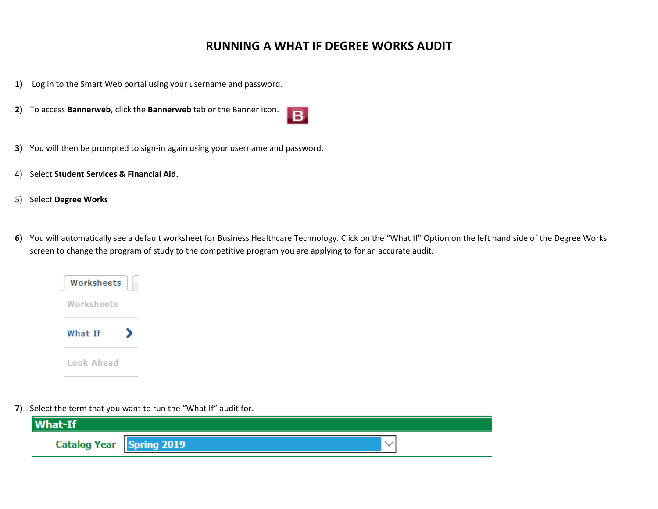## **RUNNING A WHAT IF DEGREE WORKS AUDIT**

- **1)** Log in to the Smart Web portal using your username and password.
- **2)** To access **Bannerweb**, click the **Bannerweb** tab or the Banner icon.



- **3)** You will then be prompted to sign-in again using your username and password.
- 4) Select **Student Services & Financial Aid.**
- 5) Select **Degree Works**
- **6)** You will automatically see a default worksheet for Business Healthcare Technology. Click on the "What If" Option on the left hand side of the Degree Works screen to change the program of study to the competitive program you are applying to for an accurate audit.

| Worksheets |
|------------|
| Worksheets |
| What Tf    |
| Look Ahead |

**7)** Select the term that you want to run the "What If" audit for.